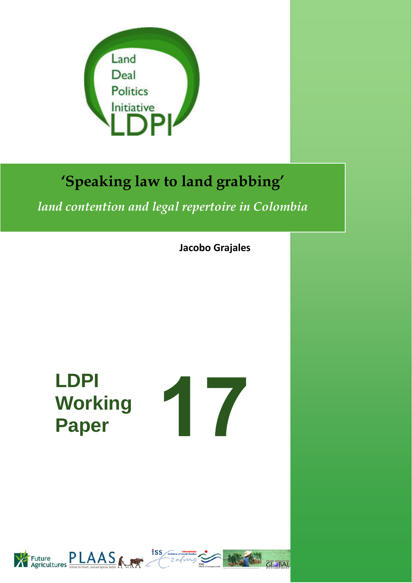

# **'Speaking law to land grabbing'**

*land contention and legal repertoire in Colombia*

**Jacobo Grajales**

**LDPI Paper**



**CL BAL** 

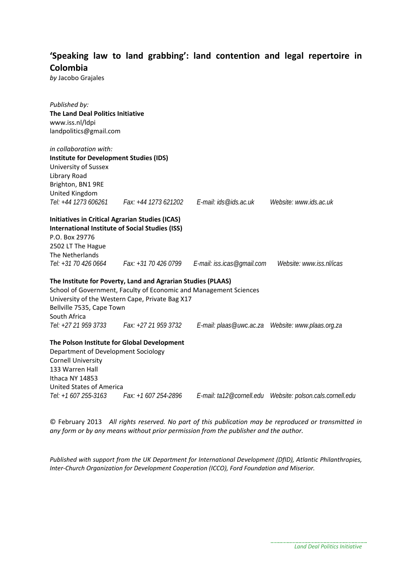#### **'Speaking law to land grabbing': land contention and legal repertoire in Colombia**

*by* Jacobo Grajales

| Published by:                                          |                                                                     |                                                                      |                          |
|--------------------------------------------------------|---------------------------------------------------------------------|----------------------------------------------------------------------|--------------------------|
| <b>The Land Deal Politics Initiative</b>               |                                                                     |                                                                      |                          |
| www.iss.nl/ldpi                                        |                                                                     |                                                                      |                          |
| landpolitics@gmail.com                                 |                                                                     |                                                                      |                          |
| in collaboration with:                                 |                                                                     |                                                                      |                          |
| <b>Institute for Development Studies (IDS)</b>         |                                                                     |                                                                      |                          |
| University of Sussex                                   |                                                                     |                                                                      |                          |
| Library Road                                           |                                                                     |                                                                      |                          |
| Brighton, BN1 9RE                                      |                                                                     |                                                                      |                          |
| United Kingdom                                         |                                                                     |                                                                      |                          |
|                                                        | Tel: +44 1273 606261   Fax: +44 1273 621202   E-mail: ids@ids.ac.uk |                                                                      | Website: www.ids.ac.uk   |
| <b>Initiatives in Critical Agrarian Studies (ICAS)</b> |                                                                     |                                                                      |                          |
|                                                        | <b>International Institute of Social Studies (ISS)</b>              |                                                                      |                          |
| P.O. Box 29776                                         |                                                                     |                                                                      |                          |
| 2502 LT The Hague                                      |                                                                     |                                                                      |                          |
| The Netherlands                                        |                                                                     |                                                                      |                          |
|                                                        |                                                                     | Tel: +31 70 426 0664 Fax: +31 70 426 0799 E-mail: iss.icas@gmail.com | Website: www.iss.nl/icas |
|                                                        | The Institute for Poverty, Land and Agrarian Studies (PLAAS)        |                                                                      |                          |
|                                                        | School of Government, Faculty of Economic and Management Sciences   |                                                                      |                          |
|                                                        | University of the Western Cape, Private Bag X17                     |                                                                      |                          |
| Bellville 7535, Cape Town                              |                                                                     |                                                                      |                          |
| South Africa                                           |                                                                     |                                                                      |                          |
|                                                        | Tel: +27 21 959 3733    Fax: +27 21 959 3732                        |                                                                      |                          |
|                                                        | The Polson Institute for Global Development                         |                                                                      |                          |
| Department of Development Sociology                    |                                                                     |                                                                      |                          |
| <b>Cornell University</b>                              |                                                                     |                                                                      |                          |
| 133 Warren Hall                                        |                                                                     |                                                                      |                          |
| Ithaca NY 14853                                        |                                                                     |                                                                      |                          |
| <b>United States of America</b>                        |                                                                     |                                                                      |                          |
| Tel: +1 607 255-3163                                   | Fax: +1 607 254-2896                                                |                                                                      |                          |

© February 2013 *All rights reserved. No part of this publication may be reproduced or transmitted in any form or by any means without prior permission from the publisher and the author.*

*Published with support from the UK Department for International Development (DfID), Atlantic Philanthropies, Inter‐Church Organization for Development Cooperation (ICCO), Ford Foundation and Miserior.*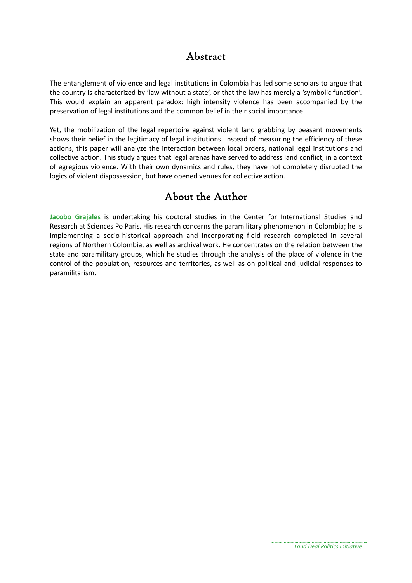#### Abstract

The entanglement of violence and legal institutions in Colombia has led some scholars to argue that the country is characterized by 'law without a state', or that the law has merely a 'symbolic function'. This would explain an apparent paradox: high intensity violence has been accompanied by the preservation of legal institutions and the common belief in their social importance.

Yet, the mobilization of the legal repertoire against violent land grabbing by peasant movements shows their belief in the legitimacy of legal institutions. Instead of measuring the efficiency of these actions, this paper will analyze the interaction between local orders, national legal institutions and collective action. This study argues that legal arenas have served to address land conflict, in a context of egregious violence. With their own dynamics and rules, they have not completely disrupted the logics of violent dispossession, but have opened venues for collective action.

### About the Author

**Jacobo Grajales** is undertaking his doctoral studies in the Center for International Studies and Research at Sciences Po Paris. His research concerns the paramilitary phenomenon in Colombia; he is implementing a socio-historical approach and incorporating field research completed in several regions of Northern Colombia, as well as archival work. He concentrates on the relation between the state and paramilitary groups, which he studies through the analysis of the place of violence in the control of the population, resources and territories, as well as on political and judicial responses to paramilitarism.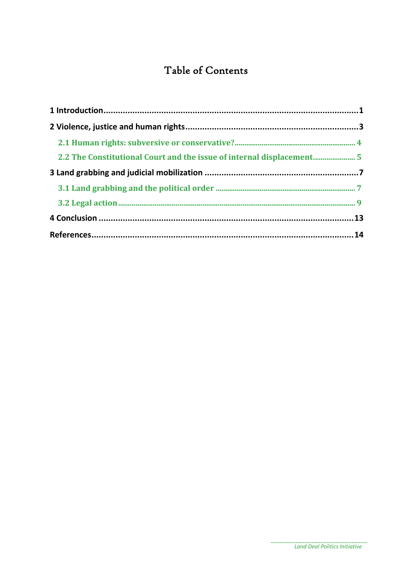## Table of Contents

| 2.2 The Constitutional Court and the issue of internal displacement5 |  |
|----------------------------------------------------------------------|--|
|                                                                      |  |
|                                                                      |  |
|                                                                      |  |
|                                                                      |  |
|                                                                      |  |
|                                                                      |  |

. . . . . . . . . . .

. . . . . . .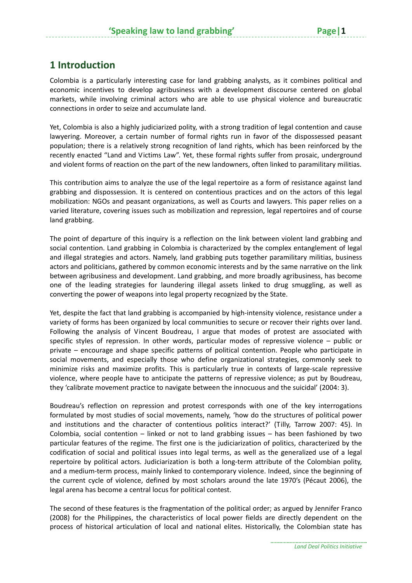#### **1 Introduction**

Colombia is a particularly interesting case for land grabbing analysts, as it combines political and economic incentives to develop agribusiness with a development discourse centered on global markets, while involving criminal actors who are able to use physical violence and bureaucratic connections in order to seize and accumulate land.

Yet, Colombia is also a highly judiciarized polity, with a strong tradition of legal contention and cause lawyering. Moreover, a certain number of formal rights run in favor of the dispossessed peasant population; there is a relatively strong recognition of land rights, which has been reinforced by the recently enacted "Land and Victims Law". Yet, these formal rights suffer from prosaic, underground and violent forms of reaction on the part of the new landowners, often linked to paramilitary militias.

This contribution aims to analyze the use of the legal repertoire as a form of resistance against land grabbing and dispossession. It is centered on contentious practices and on the actors of this legal mobilization: NGOs and peasant organizations, as well as Courts and lawyers. This paper relies on a varied literature, covering issues such as mobilization and repression, legal repertoires and of course land grabbing.

The point of departure of this inquiry is a reflection on the link between violent land grabbing and social contention. Land grabbing in Colombia is characterized by the complex entanglement of legal and illegal strategies and actors. Namely, land grabbing puts together paramilitary militias, business actors and politicians, gathered by common economic interests and by the same narrative on the link between agribusiness and development. Land grabbing, and more broadly agribusiness, has become one of the leading strategies for laundering illegal assets linked to drug smuggling, as well as converting the power of weapons into legal property recognized by the State.

Yet, despite the fact that land grabbing is accompanied by high-intensity violence, resistance under a variety of forms has been organized by local communities to secure or recover their rights over land. Following the analysis of Vincent Boudreau, I argue that modes of protest are associated with specific styles of repression. In other words, particular modes of repressive violence – public or private – encourage and shape specific patterns of political contention. People who participate in social movements, and especially those who define organizational strategies, commonly seek to minimize risks and maximize profits. This is particularly true in contexts of large‐scale repressive violence, where people have to anticipate the patterns of repressive violence; as put by Boudreau, they 'calibrate movement practice to navigate between the innocuous and the suicidal' (2004: 3).

Boudreau's reflection on repression and protest corresponds with one of the key interrogations formulated by most studies of social movements, namely, 'how do the structures of political power and institutions and the character of contentious politics interact?' (Tilly, Tarrow 2007: 45). In Colombia, social contention – linked or not to land grabbing issues – has been fashioned by two particular features of the regime. The first one is the judiciarization of politics, characterized by the codification of social and political issues into legal terms, as well as the generalized use of a legal repertoire by political actors. Judiciarization is both a long-term attribute of the Colombian polity, and a medium‐term process, mainly linked to contemporary violence. Indeed, since the beginning of the current cycle of violence, defined by most scholars around the late 1970's (Pécaut 2006), the legal arena has become a central locus for political contest.

The second of these features is the fragmentation of the political order; as argued by Jennifer Franco (2008) for the Philippines, the characteristics of local power fields are directly dependent on the process of historical articulation of local and national elites. Historically, the Colombian state has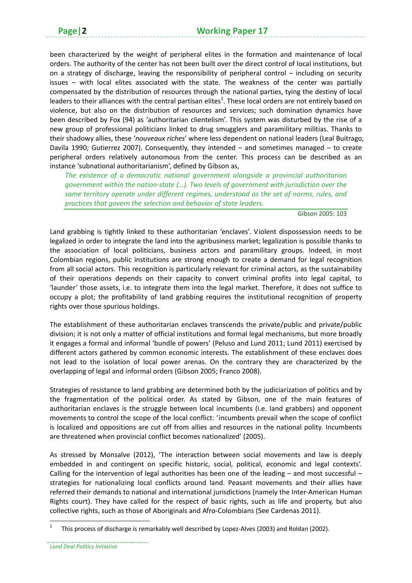been characterized by the weight of peripheral elites in the formation and maintenance of local orders. The authority of the center has not been built over the direct control of local institutions, but on a strategy of discharge, leaving the responsibility of peripheral control – including on security issues – with local elites associated with the state. The weakness of the center was partially compensated by the distribution of resources through the national parties, tying the destiny of local leaders to their alliances with the central partisan elites<sup>1</sup>. These local orders are not entirely based on violence, but also on the distribution of resources and services; such domination dynamics have been described by Fox (94) as 'authoritarian clientelism'. This system was disturbed by the rise of a new group of professional politicians linked to drug smugglers and paramilitary militias. Thanks to their shadowy allies, these '*nouveaux riches*' where less dependent on national leaders (Leal Buitrago, Davila 1990; Gutierrez 2007). Consequently, they intended – and sometimes managed – to create peripheral orders relatively autonomous from the center. This process can be described as an instance 'subnational authoritarianism', defined by Gibson as,

*The existence of a democratic national government alongside a provincial authoritarian government within the nation‐state (…). Two levels of government with jurisdiction over the same territory operate under different regimes, understood as the set of norms, rules, and practices that govern the selection and behavior of state leaders.*

Gibson 2005: 103

Land grabbing is tightly linked to these authoritarian 'enclaves'. Violent dispossession needs to be legalized in order to integrate the land into the agribusiness market; legalization is possible thanks to the association of local politicians, business actors and paramilitary groups. Indeed, in most Colombian regions, public institutions are strong enough to create a demand for legal recognition from all social actors. This recognition is particularly relevant for criminal actors, as the sustainability of their operations depends on their capacity to convert criminal profits into legal capital, to 'launder' those assets, i.e. to integrate them into the legal market. Therefore, it does not suffice to occupy a plot; the profitability of land grabbing requires the institutional recognition of property rights over those spurious holdings.

The establishment of these authoritarian enclaves transcends the private/public and private/public division; it is not only a matter of official institutions and formal legal mechanisms, but more broadly it engages a formal and informal 'bundle of powers' (Peluso and Lund 2011; Lund 2011) exercised by different actors gathered by common economic interests. The establishment of these enclaves does not lead to the isolation of local power arenas. On the contrary they are characterized by the overlapping of legal and informal orders (Gibson 2005; Franco 2008).

Strategies of resistance to land grabbing are determined both by the judiciarization of politics and by the fragmentation of the political order. As stated by Gibson, one of the main features of authoritarian enclaves is the struggle between local incumbents (i.e. land grabbers) and opponent movements to control the scope of the local conflict: 'incumbents prevail when the scope of conflict is localized and oppositions are cut off from allies and resources in the national polity. Incumbents are threatened when provincial conflict becomes nationalized' (2005).

As stressed by Monsalve (2012), 'The interaction between social movements and law is deeply embedded in and contingent on specific historic, social, political, economic and legal contexts'. Calling for the intervention of legal authorities has been one of the leading – and most successful – strategies for nationalizing local conflicts around land. Peasant movements and their allies have referred their demands to national and international jurisdictions (namely the Inter‐American Human Rights court). They have called for the respect of basic rights, such as life and property, but also collective rights, such as those of Aboriginals and Afro‐Colombians (See Cardenas 2011).

<sup>1</sup> This process of discharge is remarkably well described by Lopez‐Alves (2003) and Roldan (2002).

*Land Deal Politics Initiative*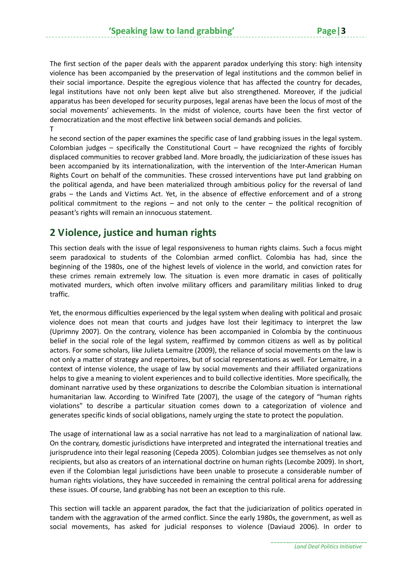The first section of the paper deals with the apparent paradox underlying this story: high intensity violence has been accompanied by the preservation of legal institutions and the common belief in their social importance. Despite the egregious violence that has affected the country for decades, legal institutions have not only been kept alive but also strengthened. Moreover, if the judicial apparatus has been developed for security purposes, legal arenas have been the locus of most of the social movements' achievements. In the midst of violence, courts have been the first vector of democratization and the most effective link between social demands and policies. T

he second section of the paper examines the specific case of land grabbing issues in the legal system. Colombian judges – specifically the Constitutional Court – have recognized the rights of forcibly displaced communities to recover grabbed land. More broadly, the judiciarization of these issues has been accompanied by its internationalization, with the intervention of the Inter-American Human Rights Court on behalf of the communities. These crossed interventions have put land grabbing on the political agenda, and have been materialized through ambitious policy for the reversal of land grabs – the Lands and Victims Act. Yet, in the absence of effective enforcement and of a strong political commitment to the regions – and not only to the center – the political recognition of peasant's rights will remain an innocuous statement.

#### **2 Violence, justice and human rights**

This section deals with the issue of legal responsiveness to human rights claims. Such a focus might seem paradoxical to students of the Colombian armed conflict. Colombia has had, since the beginning of the 1980s, one of the highest levels of violence in the world, and conviction rates for these crimes remain extremely low. The situation is even more dramatic in cases of politically motivated murders, which often involve military officers and paramilitary militias linked to drug traffic.

Yet, the enormous difficulties experienced by the legal system when dealing with political and prosaic violence does not mean that courts and judges have lost their legitimacy to interpret the law (Uprimny 2007). On the contrary, violence has been accompanied in Colombia by the continuous belief in the social role of the legal system, reaffirmed by common citizens as well as by political actors. For some scholars, like Julieta Lemaitre (2009), the reliance of social movements on the law is not only a matter of strategy and repertoires, but of social representations as well. For Lemaitre, in a context of intense violence, the usage of law by social movements and their affiliated organizations helps to give a meaning to violent experiences and to build collective identities. More specifically, the dominant narrative used by these organizations to describe the Colombian situation is international humanitarian law. According to Winifred Tate (2007), the usage of the category of "human rights violations" to describe a particular situation comes down to a categorization of violence and generates specific kinds of social obligations, namely urging the state to protect the population.

The usage of international law as a social narrative has not lead to a marginalization of national law. On the contrary, domestic jurisdictions have interpreted and integrated the international treaties and jurisprudence into their legal reasoning (Cepeda 2005). Colombian judges see themselves as not only recipients, but also as creators of an international doctrine on human rights (Lecombe 2009). In short, even if the Colombian legal jurisdictions have been unable to prosecute a considerable number of human rights violations, they have succeeded in remaining the central political arena for addressing these issues. Of course, land grabbing has not been an exception to this rule.

This section will tackle an apparent paradox, the fact that the judiciarization of politics operated in tandem with the aggravation of the armed conflict. Since the early 1980s, the government, as well as social movements, has asked for judicial responses to violence (Daviaud 2006). In order to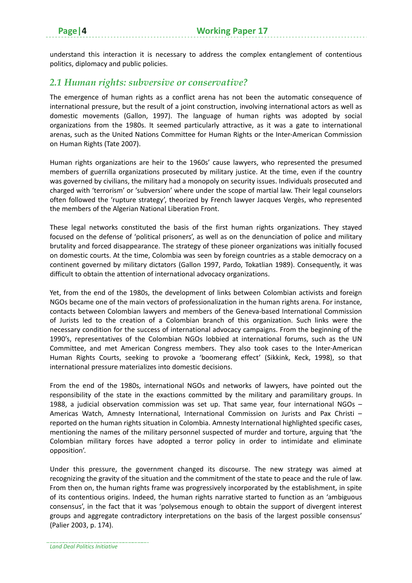understand this interaction it is necessary to address the complex entanglement of contentious politics, diplomacy and public policies.

#### *2.1 Human rights: subversive or conservative?*

The emergence of human rights as a conflict arena has not been the automatic consequence of international pressure, but the result of a joint construction, involving international actors as well as domestic movements (Gallon, 1997). The language of human rights was adopted by social organizations from the 1980s. It seemed particularly attractive, as it was a gate to international arenas, such as the United Nations Committee for Human Rights or the Inter‐American Commission on Human Rights (Tate 2007).

Human rights organizations are heir to the 1960s' cause lawyers, who represented the presumed members of guerrilla organizations prosecuted by military justice. At the time, even if the country was governed by civilians, the military had a monopoly on security issues. Individuals prosecuted and charged with 'terrorism' or 'subversion' where under the scope of martial law. Their legal counselors often followed the 'rupture strategy', theorized by French lawyer Jacques Vergès, who represented the members of the Algerian National Liberation Front.

These legal networks constituted the basis of the first human rights organizations. They stayed focused on the defense of 'political prisoners', as well as on the denunciation of police and military brutality and forced disappearance. The strategy of these pioneer organizations was initially focused on domestic courts. At the time, Colombia was seen by foreign countries as a stable democracy on a continent governed by military dictators (Gallon 1997, Pardo, Tokatlian 1989). Consequently, it was difficult to obtain the attention of international advocacy organizations.

Yet, from the end of the 1980s, the development of links between Colombian activists and foreign NGOs became one of the main vectors of professionalization in the human rights arena. For instance, contacts between Colombian lawyers and members of the Geneva‐based International Commission of Jurists led to the creation of a Colombian branch of this organization. Such links were the necessary condition for the success of international advocacy campaigns. From the beginning of the 1990's, representatives of the Colombian NGOs lobbied at international forums, such as the UN Committee, and met American Congress members. They also took cases to the Inter‐American Human Rights Courts, seeking to provoke a 'boomerang effect' (Sikkink, Keck, 1998), so that international pressure materializes into domestic decisions.

From the end of the 1980s, international NGOs and networks of lawyers, have pointed out the responsibility of the state in the exactions committed by the military and paramilitary groups. In 1988, a judicial observation commission was set up. That same year, four international NGOs – Americas Watch, Amnesty International, International Commission on Jurists and Pax Christi – reported on the human rights situation in Colombia. Amnesty International highlighted specific cases, mentioning the names of the military personnel suspected of murder and torture, arguing that 'the Colombian military forces have adopted a terror policy in order to intimidate and eliminate opposition'.

Under this pressure, the government changed its discourse. The new strategy was aimed at recognizing the gravity of the situation and the commitment of the state to peace and the rule of law. From then on, the human rights frame was progressively incorporated by the establishment, in spite of its contentious origins. Indeed, the human rights narrative started to function as an 'ambiguous consensus', in the fact that it was 'polysemous enough to obtain the support of divergent interest groups and aggregate contradictory interpretations on the basis of the largest possible consensus' (Palier 2003, p. 174).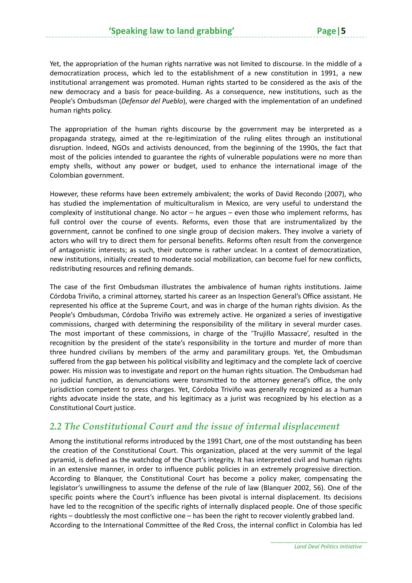Yet, the appropriation of the human rights narrative was not limited to discourse. In the middle of a democratization process, which led to the establishment of a new constitution in 1991, a new institutional arrangement was promoted. Human rights started to be considered as the axis of the new democracy and a basis for peace‐building. As a consequence, new institutions, such as the People's Ombudsman (*Defensor del Pueblo*), were charged with the implementation of an undefined human rights policy.

The appropriation of the human rights discourse by the government may be interpreted as a propaganda strategy, aimed at the re‐legitimization of the ruling elites through an institutional disruption. Indeed, NGOs and activists denounced, from the beginning of the 1990s, the fact that most of the policies intended to guarantee the rights of vulnerable populations were no more than empty shells, without any power or budget, used to enhance the international image of the Colombian government.

However, these reforms have been extremely ambivalent; the works of David Recondo (2007), who has studied the implementation of multiculturalism in Mexico, are very useful to understand the complexity of institutional change. No actor – he argues – even those who implement reforms, has full control over the course of events. Reforms, even those that are instrumentalized by the government, cannot be confined to one single group of decision makers. They involve a variety of actors who will try to direct them for personal benefits. Reforms often result from the convergence of antagonistic interests; as such, their outcome is rather unclear. In a context of democratization, new institutions, initially created to moderate social mobilization, can become fuel for new conflicts, redistributing resources and refining demands.

The case of the first Ombudsman illustrates the ambivalence of human rights institutions. Jaime Córdoba Triviño, a criminal attorney, started his career as an Inspection General's Office assistant. He represented his office at the Supreme Court, and was in charge of the human rights division. As the People's Ombudsman, Córdoba Triviño was extremely active. He organized a series of investigative commissions, charged with determining the responsibility of the military in several murder cases. The most important of these commissions, in charge of the 'Trujillo Massacre', resulted in the recognition by the president of the state's responsibility in the torture and murder of more than three hundred civilians by members of the army and paramilitary groups. Yet, the Ombudsman suffered from the gap between his political visibility and legitimacy and the complete lack of coercive power. His mission was to investigate and report on the human rights situation. The Ombudsman had no judicial function, as denunciations were transmitted to the attorney general's office, the only jurisdiction competent to press charges. Yet, Córdoba Triviño was generally recognized as a human rights advocate inside the state, and his legitimacy as a jurist was recognized by his election as a Constitutional Court justice.

#### *2.2 The Constitutional Court and the issue of internal displacement*

Among the institutional reforms introduced by the 1991 Chart, one of the most outstanding has been the creation of the Constitutional Court. This organization, placed at the very summit of the legal pyramid, is defined as the watchdog of the Chart's integrity. It has interpreted civil and human rights in an extensive manner, in order to influence public policies in an extremely progressive direction. According to Blanquer, the Constitutional Court has become a policy maker, compensating the legislator's unwillingness to assume the defense of the rule of law (Blanquer 2002, 56). One of the specific points where the Court's influence has been pivotal is internal displacement. Its decisions have led to the recognition of the specific rights of internally displaced people. One of those specific rights – doubtlessly the most conflictive one – has been the right to recover violently grabbed land. According to the International Committee of the Red Cross, the internal conflict in Colombia has led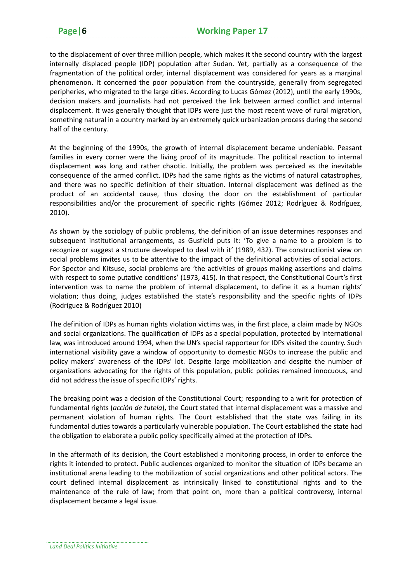to the displacement of over three million people, which makes it the second country with the largest internally displaced people (IDP) population after Sudan. Yet, partially as a consequence of the fragmentation of the political order, internal displacement was considered for years as a marginal phenomenon. It concerned the poor population from the countryside, generally from segregated peripheries, who migrated to the large cities. According to Lucas Gómez (2012), until the early 1990s, decision makers and journalists had not perceived the link between armed conflict and internal displacement. It was generally thought that IDPs were just the most recent wave of rural migration, something natural in a country marked by an extremely quick urbanization process during the second half of the century.

At the beginning of the 1990s, the growth of internal displacement became undeniable. Peasant families in every corner were the living proof of its magnitude. The political reaction to internal displacement was long and rather chaotic. Initially, the problem was perceived as the inevitable consequence of the armed conflict. IDPs had the same rights as the victims of natural catastrophes, and there was no specific definition of their situation. Internal displacement was defined as the product of an accidental cause, thus closing the door on the establishment of particular responsibilities and/or the procurement of specific rights (Gómez 2012; Rodríguez & Rodríguez, 2010).

As shown by the sociology of public problems, the definition of an issue determines responses and subsequent institutional arrangements, as Gusfield puts it: 'To give a name to a problem is to recognize or suggest a structure developed to deal with it' (1989, 432). The constructionist view on social problems invites us to be attentive to the impact of the definitional activities of social actors. For Spector and Kitsuse, social problems are 'the activities of groups making assertions and claims with respect to some putative conditions' (1973, 415). In that respect, the Constitutional Court's first intervention was to name the problem of internal displacement, to define it as a human rights' violation; thus doing, judges established the state's responsibility and the specific rights of IDPs (Rodríguez & Rodríguez 2010)

The definition of IDPs as human rights violation victims was, in the first place, a claim made by NGOs and social organizations. The qualification of IDPs as a special population, protected by international law, was introduced around 1994, when the UN's special rapporteur for IDPs visited the country. Such international visibility gave a window of opportunity to domestic NGOs to increase the public and policy makers' awareness of the IDPs' lot. Despite large mobilization and despite the number of organizations advocating for the rights of this population, public policies remained innocuous, and did not address the issue of specific IDPs' rights.

The breaking point was a decision of the Constitutional Court; responding to a writ for protection of fundamental rights (*acción de tutela*), the Court stated that internal displacement was a massive and permanent violation of human rights. The Court established that the state was failing in its fundamental duties towards a particularly vulnerable population. The Court established the state had the obligation to elaborate a public policy specifically aimed at the protection of IDPs.

In the aftermath of its decision, the Court established a monitoring process, in order to enforce the rights it intended to protect. Public audiences organized to monitor the situation of IDPs became an institutional arena leading to the mobilization of social organizations and other political actors. The court defined internal displacement as intrinsically linked to constitutional rights and to the maintenance of the rule of law; from that point on, more than a political controversy, internal displacement became a legal issue.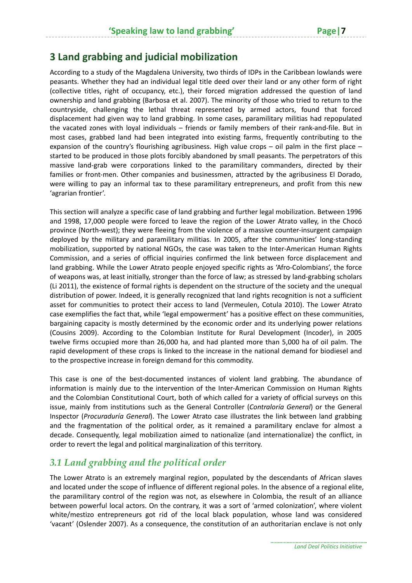#### **3 Land grabbing and judicial mobilization**

According to a study of the Magdalena University, two thirds of IDPs in the Caribbean lowlands were peasants. Whether they had an individual legal title deed over their land or any other form of right (collective titles, right of occupancy, etc.), their forced migration addressed the question of land ownership and land grabbing (Barbosa et al. 2007). The minority of those who tried to return to the countryside, challenging the lethal threat represented by armed actors, found that forced displacement had given way to land grabbing. In some cases, paramilitary militias had repopulated the vacated zones with loyal individuals – friends or family members of their rank-and-file. But in most cases, grabbed land had been integrated into existing farms, frequently contributing to the expansion of the country's flourishing agribusiness. High value crops – oil palm in the first place – started to be produced in those plots forcibly abandoned by small peasants. The perpetrators of this massive land‐grab were corporations linked to the paramilitary commanders, directed by their families or front-men. Other companies and businessmen, attracted by the agribusiness El Dorado, were willing to pay an informal tax to these paramilitary entrepreneurs, and profit from this new 'agrarian frontier'.

This section will analyze a specific case of land grabbing and further legal mobilization. Between 1996 and 1998, 17,000 people were forced to leave the region of the Lower Atrato valley, in the Chocó province (North-west); they were fleeing from the violence of a massive counter-insurgent campaign deployed by the military and paramilitary militias. In 2005, after the communities' long‐standing mobilization, supported by national NGOs, the case was taken to the Inter‐American Human Rights Commission, and a series of official inquiries confirmed the link between force displacement and land grabbing. While the Lower Atrato people enjoyed specific rights as 'Afro‐Colombians', the force of weapons was, at least initially, stronger than the force of law; as stressed by land‐grabbing scholars (Li 2011), the existence of formal rights is dependent on the structure of the society and the unequal distribution of power. Indeed, it is generally recognized that land rights recognition is not a sufficient asset for communities to protect their access to land (Vermeulen, Cotula 2010). The Lower Atrato case exemplifies the fact that, while 'legal empowerment' has a positive effect on these communities, bargaining capacity is mostly determined by the economic order and its underlying power relations (Cousins 2009). According to the Colombian Institute for Rural Development (Incoder), in 2005 twelve firms occupied more than 26,000 ha, and had planted more than 5,000 ha of oil palm. The rapid development of these crops is linked to the increase in the national demand for biodiesel and to the prospective increase in foreign demand for this commodity.

This case is one of the best-documented instances of violent land grabbing. The abundance of information is mainly due to the intervention of the Inter‐American Commission on Human Rights and the Colombian Constitutional Court, both of which called for a variety of official surveys on this issue, mainly from institutions such as the General Controller (*Contraloría General*) or the General Inspector (*Procuraduría General*). The Lower Atrato case illustrates the link between land grabbing and the fragmentation of the political order, as it remained a paramilitary enclave for almost a decade. Consequently, legal mobilization aimed to nationalize (and internationalize) the conflict, in order to revert the legal and political marginalization of this territory.

#### *3.1 Land grabbing and the political order*

The Lower Atrato is an extremely marginal region, populated by the descendants of African slaves and located under the scope of influence of different regional poles. In the absence of a regional elite, the paramilitary control of the region was not, as elsewhere in Colombia, the result of an alliance between powerful local actors. On the contrary, it was a sort of 'armed colonization', where violent white/mestizo entrepreneurs got rid of the local black population, whose land was considered 'vacant' (Oslender 2007). As a consequence, the constitution of an authoritarian enclave is not only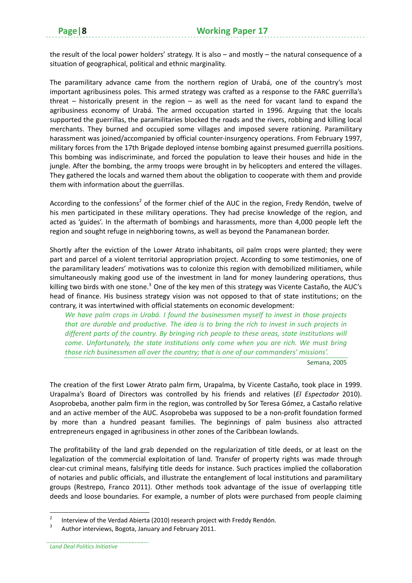the result of the local power holders' strategy. It is also – and mostly – the natural consequence of a situation of geographical, political and ethnic marginality.

The paramilitary advance came from the northern region of Urabá, one of the country's most important agribusiness poles. This armed strategy was crafted as a response to the FARC guerrilla's threat – historically present in the region – as well as the need for vacant land to expand the agribusiness economy of Urabá. The armed occupation started in 1996. Arguing that the locals supported the guerrillas, the paramilitaries blocked the roads and the rivers, robbing and killing local merchants. They burned and occupied some villages and imposed severe rationing. Paramilitary harassment was joined/accompanied by official counter-insurgency operations. From February 1997, military forces from the 17th Brigade deployed intense bombing against presumed guerrilla positions. This bombing was indiscriminate, and forced the population to leave their houses and hide in the jungle. After the bombing, the army troops were brought in by helicopters and entered the villages. They gathered the locals and warned them about the obligation to cooperate with them and provide them with information about the guerrillas.

According to the confessions<sup>2</sup> of the former chief of the AUC in the region, Fredy Rendón, twelve of his men participated in these military operations. They had precise knowledge of the region, and acted as 'guides'. In the aftermath of bombings and harassments, more than 4,000 people left the region and sought refuge in neighboring towns, as well as beyond the Panamanean border.

Shortly after the eviction of the Lower Atrato inhabitants, oil palm crops were planted; they were part and parcel of a violent territorial appropriation project. According to some testimonies, one of the paramilitary leaders' motivations was to colonize this region with demobilized militiamen, while simultaneously making good use of the investment in land for money laundering operations, thus killing two birds with one stone.<sup>3</sup> One of the key men of this strategy was Vicente Castaño, the AUC's head of finance. His business strategy vision was not opposed to that of state institutions; on the contrary, it was intertwined with official statements on economic development:

*We have palm crops in Urabá. I found the businessmen myself to invest in those projects that are durable and productive. The idea is to bring the rich to invest in such projects in different parts of the country. By bringing rich people to these areas, state institutions will come. Unfortunately, the state institutions only come when you are rich. We must bring those rich businessmen all over the country; that is one of our commanders' missions'.*

Semana, 2005

The creation of the first Lower Atrato palm firm, Urapalma, by Vicente Castaño, took place in 1999. Urapalma's Board of Directors was controlled by his friends and relatives (*El Espectador* 2010). Asoprobeba, another palm firm in the region, was controlled by Sor Teresa Gómez, a Castaño relative and an active member of the AUC. Asoprobeba was supposed to be a non‐profit foundation formed by more than a hundred peasant families. The beginnings of palm business also attracted entrepreneurs engaged in agribusiness in other zones of the Caribbean lowlands.

The profitability of the land grab depended on the regularization of title deeds, or at least on the legalization of the commercial exploitation of land. Transfer of property rights was made through clear‐cut criminal means, falsifying title deeds for instance. Such practices implied the collaboration of notaries and public officials, and illustrate the entanglement of local institutions and paramilitary groups (Restrepo, Franco 2011). Other methods took advantage of the issue of overlapping title deeds and loose boundaries. For example, a number of plots were purchased from people claiming

<sup>&</sup>lt;sup>2</sup> Interview of the Verdad Abierta (2010) research project with Freddy Rendón.<br><sup>3</sup> Author interviews, Bogota, January and February 2011.

*Land Deal Politics Initiative*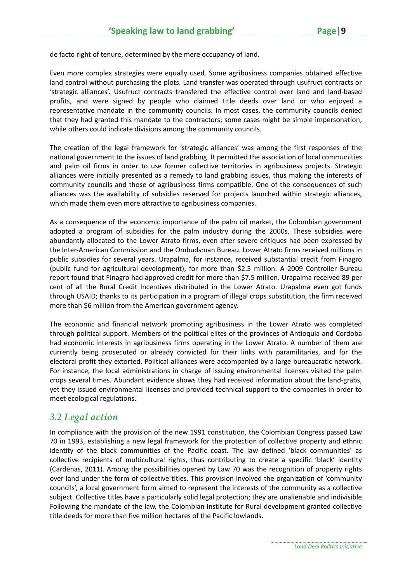de facto right of tenure, determined by the mere occupancy of land.

Even more complex strategies were equally used. Some agribusiness companies obtained effective land control without purchasing the plots. Land transfer was operated through usufruct contracts or 'strategic alliances'. Usufruct contracts transfered the effective control over land and land‐based profits, and were signed by people who claimed title deeds over land or who enjoyed a representative mandate in the community councils. In most cases, the community councils denied that they had granted this mandate to the contractors; some cases might be simple impersonation, while others could indicate divisions among the community councils.

The creation of the legal framework for 'strategic alliances' was among the first responses of the national government to the issues of land grabbing. It permitted the association of local communities and palm oil firms in order to use former collective territories in agribusiness projects. Strategic alliances were initially presented as a remedy to land grabbing issues, thus making the interests of community councils and those of agribusiness firms compatible. One of the consequences of such alliances was the availability of subsidies reserved for projects launched within strategic alliances, which made them even more attractive to agribusiness companies.

As a consequence of the economic importance of the palm oil market, the Colombian government adopted a program of subsidies for the palm industry during the 2000s. These subsidies were abundantly allocated to the Lower Atrato firms, even after severe critiques had been expressed by the Inter‐American Commission and the Ombudsman Bureau. Lower Atrato firms received millions in public subsidies for several years. Urapalma, for instance, received substantial credit from Finagro (public fund for agricultural development), for more than \$2.5 million. A 2009 Controller Bureau report found that Finagro had approved credit for more than \$7.5 million. Urapalma received 89 per cent of all the Rural Credit Incentives distributed in the Lower Atrato. Urapalma even got funds through USAID; thanks to its participation in a program of illegal crops substitution, the firm received more than \$6 million from the American government agency.

The economic and financial network promoting agribusiness in the Lower Atrato was completed through political support. Members of the political elites of the provinces of Antioquia and Cordoba had economic interests in agribusiness firms operating in the Lower Atrato. A number of them are currently being prosecuted or already convicted for their links with paramilitaries, and for the electoral profit they extorted. Political alliances were accompanied by a large bureaucratic network. For instance, the local administrations in charge of issuing environmental licenses visited the palm crops several times. Abundant evidence shows they had received information about the land‐grabs, yet they issued environmental licenses and provided technical support to the companies in order to meet ecological regulations.

#### *3.2 Legal action*

In compliance with the provision of the new 1991 constitution, the Colombian Congress passed Law 70 in 1993, establishing a new legal framework for the protection of collective property and ethnic identity of the black communities of the Pacific coast. The law defined 'black communities' as collective recipients of multicultural rights, thus contributing to create a specific 'black' identity (Cardenas, 2011). Among the possibilities opened by Law 70 was the recognition of property rights over land under the form of collective titles. This provision involved the organization of 'community councils', a local government form aimed to represent the interests of the community as a collective subject. Collective titles have a particularly solid legal protection; they are unalienable and indivisible. Following the mandate of the law, the Colombian Institute for Rural development granted collective title deeds for more than five million hectares of the Pacific lowlands.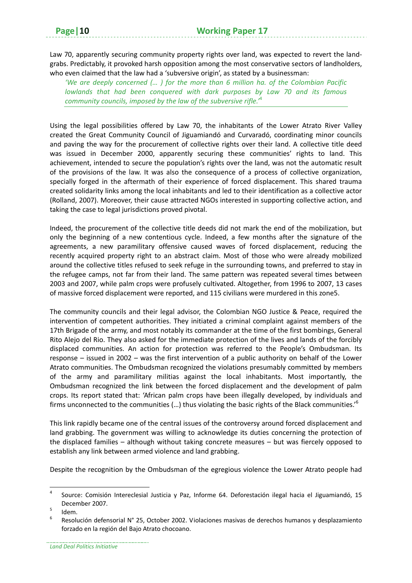Law 70, apparently securing community property rights over land, was expected to revert the land‐ grabs. Predictably, it provoked harsh opposition among the most conservative sectors of landholders, who even claimed that the law had a 'subversive origin', as stated by a businessman:

*'We are deeply concerned (… ) for the more than 6 million ha. of the Colombian Pacific lowlands that had been conquered with dark purposes by Law 70 and its famous community councils, imposed by the law of the subversive rifle.'*<sup>4</sup>

Using the legal possibilities offered by Law 70, the inhabitants of the Lower Atrato River Valley created the Great Community Council of Jiguamiandó and Curvaradó, coordinating minor councils and paving the way for the procurement of collective rights over their land. A collective title deed was issued in December 2000, apparently securing these communities' rights to land. This achievement, intended to secure the population's rights over the land, was not the automatic result of the provisions of the law. It was also the consequence of a process of collective organization, specially forged in the aftermath of their experience of forced displacement. This shared trauma created solidarity links among the local inhabitants and led to their identification as a collective actor (Rolland, 2007). Moreover, their cause attracted NGOs interested in supporting collective action, and taking the case to legal jurisdictions proved pivotal.

Indeed, the procurement of the collective title deeds did not mark the end of the mobilization, but only the beginning of a new contentious cycle. Indeed, a few months after the signature of the agreements, a new paramilitary offensive caused waves of forced displacement, reducing the recently acquired property right to an abstract claim. Most of those who were already mobilized around the collective titles refused to seek refuge in the surrounding towns, and preferred to stay in the refugee camps, not far from their land. The same pattern was repeated several times between 2003 and 2007, while palm crops were profusely cultivated. Altogether, from 1996 to 2007, 13 cases of massive forced displacement were reported, and 115 civilians were murdered in this zone5.

The community councils and their legal advisor, the Colombian NGO Justice & Peace, required the intervention of competent authorities. They initiated a criminal complaint against members of the 17th Brigade of the army, and most notably its commander at the time of the first bombings, General Rito Alejo del Rio. They also asked for the immediate protection of the lives and lands of the forcibly displaced communities. An action for protection was referred to the People's Ombudsman. Its response – issued in 2002 – was the first intervention of a public authority on behalf of the Lower Atrato communities. The Ombudsman recognized the violations presumably committed by members of the army and paramilitary militias against the local inhabitants. Most importantly, the Ombudsman recognized the link between the forced displacement and the development of palm crops. Its report stated that: 'African palm crops have been illegally developed, by individuals and firms unconnected to the communities (...) thus violating the basic rights of the Black communities.'<sup>6</sup>

This link rapidly became one of the central issues of the controversy around forced displacement and land grabbing. The government was willing to acknowledge its duties concerning the protection of the displaced families – although without taking concrete measures – but was fiercely opposed to establish any link between armed violence and land grabbing.

Despite the recognition by the Ombudsman of the egregious violence the Lower Atrato people had

<sup>4</sup> Source: Comisión Intereclesial Justicia y Paz, Informe 64. Deforestación ilegal hacia el Jiguamiandó, 15 December 2007.<br>
<sup>5</sup> Idem.<br>
<sup>6</sup> Resolución defensorial N° 25, October 2002. Violaciones masivas de derechos humanos y desplazamiento

forzado en la región del Bajo Atrato chocoano.

*Land Deal Politics Initiative*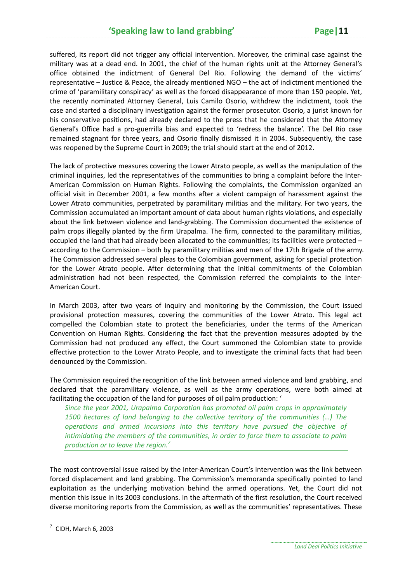suffered, its report did not trigger any official intervention. Moreover, the criminal case against the military was at a dead end. In 2001, the chief of the human rights unit at the Attorney General's office obtained the indictment of General Del Rio. Following the demand of the victims' representative – Justice & Peace, the already mentioned NGO – the act of indictment mentioned the crime of 'paramilitary conspiracy' as well as the forced disappearance of more than 150 people. Yet, the recently nominated Attorney General, Luis Camilo Osorio, withdrew the indictment, took the case and started a disciplinary investigation against the former prosecutor. Osorio, a jurist known for his conservative positions, had already declared to the press that he considered that the Attorney General's Office had a pro‐guerrilla bias and expected to 'redress the balance'. The Del Rio case remained stagnant for three years, and Osorio finally dismissed it in 2004. Subsequently, the case was reopened by the Supreme Court in 2009; the trial should start at the end of 2012.

The lack of protective measures covering the Lower Atrato people, as well as the manipulation of the criminal inquiries, led the representatives of the communities to bring a complaint before the Inter‐ American Commission on Human Rights. Following the complaints, the Commission organized an official visit in December 2001, a few months after a violent campaign of harassment against the Lower Atrato communities, perpetrated by paramilitary militias and the military. For two years, the Commission accumulated an important amount of data about human rights violations, and especially about the link between violence and land‐grabbing. The Commission documented the existence of palm crops illegally planted by the firm Urapalma. The firm, connected to the paramilitary militias, occupied the land that had already been allocated to the communities; its facilities were protected – according to the Commission – both by paramilitary militias and men of the 17th Brigade of the army. The Commission addressed several pleas to the Colombian government, asking for special protection for the Lower Atrato people. After determining that the initial commitments of the Colombian administration had not been respected, the Commission referred the complaints to the Inter‐ American Court.

In March 2003, after two years of inquiry and monitoring by the Commission, the Court issued provisional protection measures, covering the communities of the Lower Atrato. This legal act compelled the Colombian state to protect the beneficiaries, under the terms of the American Convention on Human Rights. Considering the fact that the prevention measures adopted by the Commission had not produced any effect, the Court summoned the Colombian state to provide effective protection to the Lower Atrato People, and to investigate the criminal facts that had been denounced by the Commission.

The Commission required the recognition of the link between armed violence and land grabbing, and declared that the paramilitary violence, as well as the army operations, were both aimed at facilitating the occupation of the land for purposes of oil palm production: '

*Since the year 2001, Urapalma Corporation has promoted oil palm crops in approximately 1500 hectares of land belonging to the collective territory of the communities (…) The operations and armed incursions into this territory have pursued the objective of intimidating the members of the communities, in order to force them to associate to palm production or to leave the region.<sup>7</sup>*

The most controversial issue raised by the Inter-American Court's intervention was the link between forced displacement and land grabbing. The Commission's memoranda specifically pointed to land exploitation as the underlying motivation behind the armed operations. Yet, the Court did not mention this issue in its 2003 conclusions. In the aftermath of the first resolution, the Court received diverse monitoring reports from the Commission, as well as the communities' representatives. These

 $<sup>7</sup>$  CIDH, March 6, 2003</sup>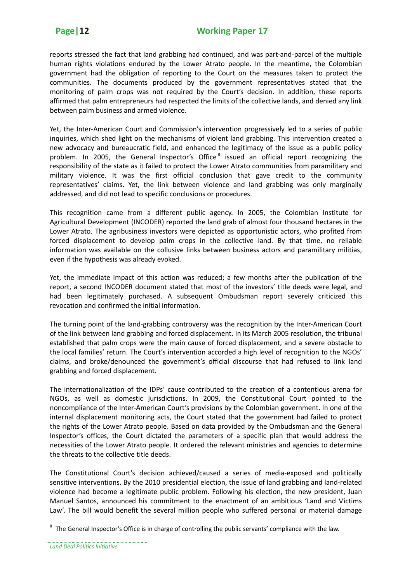reports stressed the fact that land grabbing had continued, and was part-and-parcel of the multiple human rights violations endured by the Lower Atrato people. In the meantime, the Colombian government had the obligation of reporting to the Court on the measures taken to protect the communities. The documents produced by the government representatives stated that the monitoring of palm crops was not required by the Court's decision. In addition, these reports affirmed that palm entrepreneurs had respected the limits of the collective lands, and denied any link between palm business and armed violence.

Yet, the Inter-American Court and Commission's intervention progressively led to a series of public inquiries, which shed light on the mechanisms of violent land grabbing. This intervention created a new advocacy and bureaucratic field, and enhanced the legitimacy of the issue as a public policy problem. In 2005, the General Inspector's Office<sup>8</sup> issued an official report recognizing the responsibility of the state as it failed to protect the Lower Atrato communities from paramilitary and military violence. It was the first official conclusion that gave credit to the community representatives' claims. Yet, the link between violence and land grabbing was only marginally addressed, and did not lead to specific conclusions or procedures.

This recognition came from a different public agency. In 2005, the Colombian Institute for Agricultural Development (INCODER) reported the land grab of almost four thousand hectares in the Lower Atrato. The agribusiness investors were depicted as opportunistic actors, who profited from forced displacement to develop palm crops in the collective land. By that time, no reliable information was available on the collusive links between business actors and paramilitary militias, even if the hypothesis was already evoked.

Yet, the immediate impact of this action was reduced; a few months after the publication of the report, a second INCODER document stated that most of the investors' title deeds were legal, and had been legitimately purchased. A subsequent Ombudsman report severely criticized this revocation and confirmed the initial information.

The turning point of the land‐grabbing controversy was the recognition by the Inter‐American Court of the link between land grabbing and forced displacement. In its March 2005 resolution, the tribunal established that palm crops were the main cause of forced displacement, and a severe obstacle to the local families' return. The Court's intervention accorded a high level of recognition to the NGOs' claims, and broke/denounced the government's official discourse that had refused to link land grabbing and forced displacement.

The internationalization of the IDPs' cause contributed to the creation of a contentious arena for NGOs, as well as domestic jurisdictions. In 2009, the Constitutional Court pointed to the noncompliance of the Inter‐American Court's provisions by the Colombian government. In one of the internal displacement monitoring acts, the Court stated that the government had failed to protect the rights of the Lower Atrato people. Based on data provided by the Ombudsman and the General Inspector's offices, the Court dictated the parameters of a specific plan that would address the necessities of the Lower Atrato people. It ordered the relevant ministries and agencies to determine the threats to the collective title deeds.

The Constitutional Court's decision achieved/caused a series of media‐exposed and politically sensitive interventions. By the 2010 presidential election, the issue of land grabbing and land‐related violence had become a legitimate public problem. Following his election, the new president, Juan Manuel Santos, announced his commitment to the enactment of an ambitious 'Land and Victims Law'. The bill would benefit the several million people who suffered personal or material damage

<sup>&</sup>lt;sup>8</sup> The General Inspector's Office is in charge of controlling the public servants' compliance with the law.

*Land Deal Politics Initiative*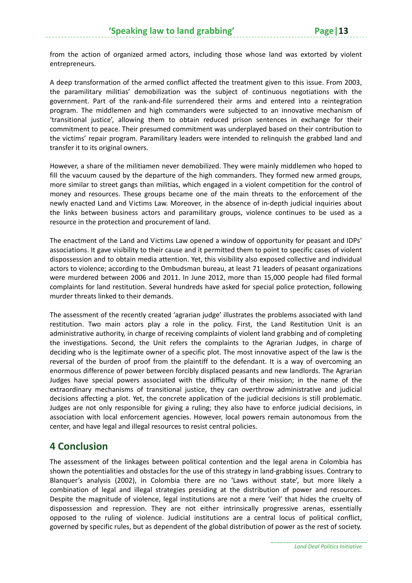from the action of organized armed actors, including those whose land was extorted by violent entrepreneurs.

A deep transformation of the armed conflict affected the treatment given to this issue. From 2003, the paramilitary militias' demobilization was the subject of continuous negotiations with the government. Part of the rank‐and‐file surrendered their arms and entered into a reintegration program. The middlemen and high commanders were subjected to an innovative mechanism of 'transitional justice', allowing them to obtain reduced prison sentences in exchange for their commitment to peace. Their presumed commitment was underplayed based on their contribution to the victims' repair program. Paramilitary leaders were intended to relinquish the grabbed land and transfer it to its original owners.

However, a share of the militiamen never demobilized. They were mainly middlemen who hoped to fill the vacuum caused by the departure of the high commanders. They formed new armed groups, more similar to street gangs than militias, which engaged in a violent competition for the control of money and resources. These groups became one of the main threats to the enforcement of the newly enacted Land and Victims Law. Moreover, in the absence of in‐depth judicial inquiries about the links between business actors and paramilitary groups, violence continues to be used as a resource in the protection and procurement of land.

The enactment of the Land and Victims Law opened a window of opportunity for peasant and IDPs' associations. It gave visibility to their cause and it permitted them to point to specific cases of violent dispossession and to obtain media attention. Yet, this visibility also exposed collective and individual actors to violence; according to the Ombudsman bureau, at least 71 leaders of peasant organizations were murdered between 2006 and 2011. In June 2012, more than 15,000 people had filed formal complaints for land restitution. Several hundreds have asked for special police protection, following murder threats linked to their demands.

The assessment of the recently created 'agrarian judge' illustrates the problems associated with land restitution. Two main actors play a role in the policy. First, the Land Restitution Unit is an administrative authority, in charge of receiving complaints of violent land grabbing and of completing the investigations. Second, the Unit refers the complaints to the Agrarian Judges, in charge of deciding who is the legitimate owner of a specific plot. The most innovative aspect of the law is the reversal of the burden of proof from the plaintiff to the defendant. It is a way of overcoming an enormous difference of power between forcibly displaced peasants and new landlords. The Agrarian Judges have special powers associated with the difficulty of their mission; in the name of the extraordinary mechanisms of transitional justice, they can overthrow administrative and judicial decisions affecting a plot. Yet, the concrete application of the judicial decisions is still problematic. Judges are not only responsible for giving a ruling; they also have to enforce judicial decisions, in association with local enforcement agencies. However, local powers remain autonomous from the center, and have legal and illegal resources to resist central policies.

#### **4 Conclusion**

The assessment of the linkages between political contention and the legal arena in Colombia has shown the potentialities and obstacles for the use of this strategy in land‐grabbing issues. Contrary to Blanquer's analysis (2002), in Colombia there are no 'Laws without state', but more likely a combination of legal and illegal strategies presiding at the distribution of power and resources. Despite the magnitude of violence, legal institutions are not a mere 'veil' that hides the cruelty of dispossession and repression. They are not either intrinsically progressive arenas, essentially opposed to the ruling of violence. Judicial institutions are a central locus of political conflict, governed by specific rules, but as dependent of the global distribution of power as the rest of society.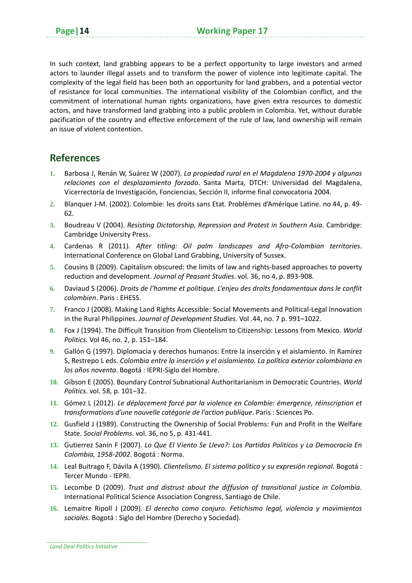In such context, land grabbing appears to be a perfect opportunity to large investors and armed actors to launder illegal assets and to transform the power of violence into legitimate capital. The complexity of the legal field has been both an opportunity for land grabbers, and a potential vector of resistance for local communities. The international visibility of the Colombian conflict, and the commitment of international human rights organizations, have given extra resources to domestic actors, and have transformed land grabbing into a public problem in Colombia. Yet, without durable pacification of the country and effective enforcement of the rule of law, land ownership will remain an issue of violent contention.

#### **References**

- **1.** Barbosa J, Renán W, Suárez W (2007). *La propiedad rural en el Magdalena 1970‐2004 y algunas relaciones con el desplazamiento forzado*. Santa Marta, DTCH: Universidad del Magdalena, Vicerrectoría de Investigación, Fonciencias, Sección II, informe final convocatoria 2004.
- **2.** Blanquer J‐M. (2002). Colombie: les droits sans Etat. Problèmes d'Amérique Latine. no 44, p. 49‐ 62.
- **3.** Boudreau V (2004). *Resisting Dictatorship, Repression and Protest in Southern Asia*. Cambridge: Cambridge University Press.
- **4.** Cardenas R (2011). *After titling: Oil palm landscapes and Afro‐Colombian territories*. International Conference on Global Land Grabbing, University of Sussex.
- **5.** Cousins B (2009). Capitalism obscured: the limits of law and rights‐based approaches to poverty reduction and development. *Journal of Peasant Studies*. vol. 36, no 4, p. 893‐908.
- **6.** Daviaud S (2006). *Droits de l'homme et politique. L'enjeu des droits fondamentaux dans le conflit colombien*. Paris : EHESS.
- **7.** Franco J (2008). Making Land Rights Accessible: Social Movements and Political‐Legal Innovation in the Rural Philippines. *Journal of Development Studies.* Vol .44, no. 7 p. 991–1022.
- **8.** Fox J (1994). The Difficult Transition from Clientelism to Citizenship: Lessons from Mexico. *World Politics.* Vol 46, no. 2, p. 151–184.
- **9.** Gallón G (1997). Diplomacia y derechos humanos: Entre la inserción y el aislamiento. In Ramírez S, Restrepo L eds. *Colombia entre la inserción y el aislamiento. La política exterior colombiana en los años noventa*. Bogotá : IEPRI‐Siglo del Hombre.
- **10.** Gibson E (2005). Boundary Control Subnational Authoritarianism in Democratic Countries. *World Politics*. vol. 58, p. 101–32.
- **11.** Gómez L (2012). *Le déplacement forcé par la violence en Colombie: émergence, réinscription et transformations d'une nouvelle catégorie de l'action publique*. Paris : Sciences Po.
- **12.** Gusfield J (1989). Constructing the Ownership of Social Problems: Fun and Profit in the Welfare State. *Social Problems*. vol. 36, no 5, p. 431‐441.
- **13.** Gutierrez Sanín F (2007). *Lo Que El Viento Se Llevo?: Los Partidos Politicos y La Democracia En Colombia, 1958‐2002*. Bogotá : Norma.
- **14.** Leal Buitrago F, Dávila A (1990). *Clientelismo. El sistema político y su expresión regional*. Bogotá : Tercer Mundo ‐ IEPRI.
- **15.** Lecombe D (2009). *Trust and distrust about the diffusion of transitional justice in Colombia*. International Political Science Association Congress, Santiago de Chile.
- **16.** Lemaitre Ripoll J (2009). *El derecho como conjuro. Fetichismo legal, violencia y movimientos sociales*. Bogotá : Siglo del Hombre (Derecho y Sociedad).

*Land Deal Politics Initiative*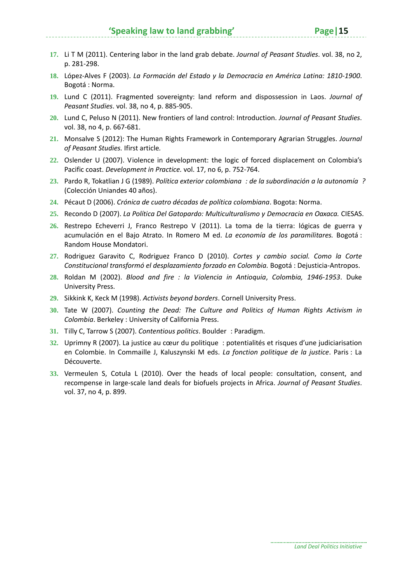- **17.** Li T M (2011). Centering labor in the land grab debate. *Journal of Peasant Studies*. vol. 38, no 2, p. 281‐298.
- **18.** López‐Alves F (2003). *La Formación del Estado y la Democracia en América Latina: 1810‐1900*. Bogotá : Norma.
- **19.** Lund C (2011). Fragmented sovereignty: land reform and dispossession in Laos. *Journal of Peasant Studies*. vol. 38, no 4, p. 885‐905.
- **20.** Lund C, Peluso N (2011). New frontiers of land control: Introduction. *Journal of Peasant Studies*. vol. 38, no 4, p. 667‐681.
- **21.** Monsalve S (2012): The Human Rights Framework in Contemporary Agrarian Struggles. *Journal of Peasant Studies.* Ifirst article*.*
- **22.** Oslender U (2007). Violence in development: the logic of forced displacement on Colombia's Pacific coast. *Development in Practice.* vol. 17, no 6, p. 752‐764.
- **23.** Pardo R, Tokatlian J G (1989). *Política exterior colombiana: de la subordinación a la autonomía?* (Colección Uniandes 40 años).
- **24.** Pécaut D (2006). *Crónica de cuatro décadas de política colombiana*. Bogota: Norma.
- **25.** Recondo D (2007). *La Política Del Gatopardo: Multiculturalismo y Democracia en Oaxaca.* CIESAS.
- **26.** Restrepo Echeverri J, Franco Restrepo V (2011). La toma de la tierra: lógicas de guerra y acumulación en el Bajo Atrato. In Romero M ed. *La economía de los paramilitares.* Bogotá : Random House Mondatori.
- **27.** Rodriguez Garavito C, Rodriguez Franco D (2010). *Cortes y cambio social. Como la Corte Constitucional transformó el desplazamiento forzado en Colombia.* Bogotá : Dejusticia‐Antropos.
- **28.** Roldan M (2002). *Blood and fire: la Violencia in Antioquia*, *Colombia, 1946‐1953*. Duke University Press.
- **29.** Sikkink K, Keck M (1998). *Activists beyond borders*. Cornell University Press.
- **30.** Tate W (2007). *Counting the Dead: The Culture and Politics of Human Rights Activism in Colombia*. Berkeley : University of California Press.
- **31.** Tilly C, Tarrow S (2007). *Contentious politics*. Boulder: Paradigm.
- **32.** Uprimny R (2007). La justice au cœur du politique: potentialités et risques d'une judiciarisation en Colombie. In Commaille J, Kaluszynski M eds. *La fonction politique de la justice*. Paris : La Découverte.
- **33.** Vermeulen S, Cotula L (2010). Over the heads of local people: consultation, consent, and recompense in large‐scale land deals for biofuels projects in Africa. *Journal of Peasant Studies*. vol. 37, no 4, p. 899.